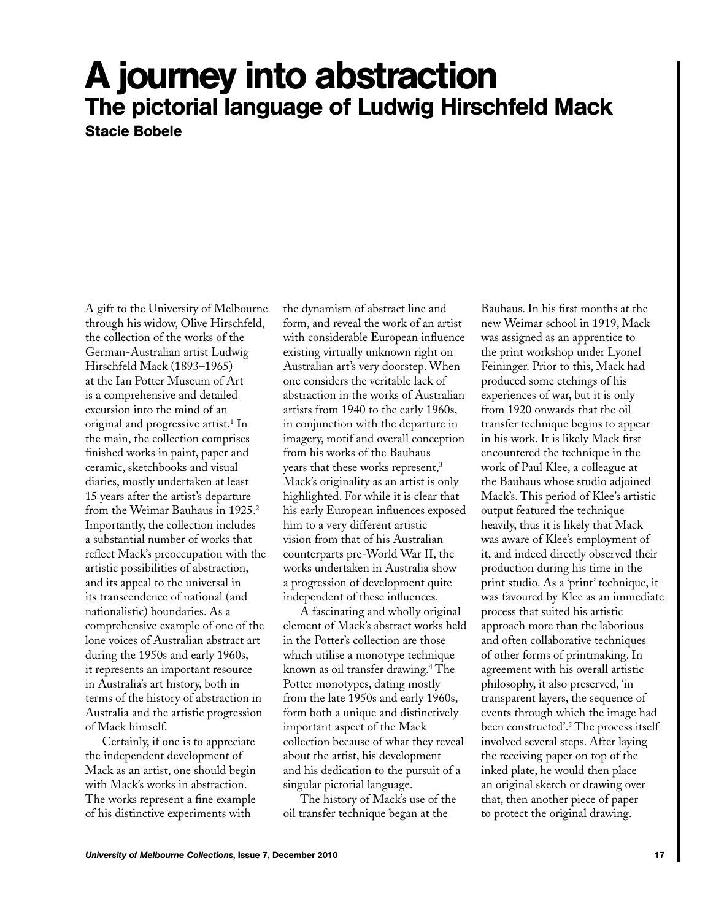## A journey into abstraction The pictorial language of Ludwig Hirschfeld Mack Stacie Bobele

A gift to the University of Melbourne through his widow, Olive Hirschfeld, the collection of the works of the German-Australian artist Ludwig Hirschfeld Mack (1893–1965) at the Ian Potter Museum of Art is a comprehensive and detailed excursion into the mind of an original and progressive artist.<sup>1</sup> In the main, the collection comprises finished works in paint, paper and ceramic, sketchbooks and visual diaries, mostly undertaken at least 15 years after the artist's departure from the Weimar Bauhaus in 1925.<sup>2</sup> Importantly, the collection includes a substantial number of works that reflect Mack's preoccupation with the artistic possibilities of abstraction, and its appeal to the universal in its transcendence of national (and nationalistic) boundaries. As a comprehensive example of one of the lone voices of Australian abstract art during the 1950s and early 1960s, it represents an important resource in Australia's art history, both in terms of the history of abstraction in Australia and the artistic progression of Mack himself.

Certainly, if one is to appreciate the independent development of Mack as an artist, one should begin with Mack's works in abstraction. The works represent a fine example of his distinctive experiments with

the dynamism of abstract line and form, and reveal the work of an artist with considerable European influence existing virtually unknown right on Australian art's very doorstep. When one considers the veritable lack of abstraction in the works of Australian artists from 1940 to the early 1960s, in conjunction with the departure in imagery, motif and overall conception from his works of the Bauhaus years that these works represent,<sup>3</sup> Mack's originality as an artist is only highlighted. For while it is clear that his early European influences exposed him to a very different artistic vision from that of his Australian counterparts pre-World War II, the works undertaken in Australia show a progression of development quite independent of these influences.

A fascinating and wholly original element of Mack's abstract works held in the Potter's collection are those which utilise a monotype technique known as oil transfer drawing.4 The Potter monotypes, dating mostly from the late 1950s and early 1960s, form both a unique and distinctively important aspect of the Mack collection because of what they reveal about the artist, his development and his dedication to the pursuit of a singular pictorial language.

The history of Mack's use of the oil transfer technique began at the

Bauhaus. In his first months at the new Weimar school in 1919, Mack was assigned as an apprentice to the print workshop under Lyonel Feininger. Prior to this, Mack had produced some etchings of his experiences of war, but it is only from 1920 onwards that the oil transfer technique begins to appear in his work. It is likely Mack first encountered the technique in the work of Paul Klee, a colleague at the Bauhaus whose studio adjoined Mack's. This period of Klee's artistic output featured the technique heavily, thus it is likely that Mack was aware of Klee's employment of it, and indeed directly observed their production during his time in the print studio. As a 'print' technique, it was favoured by Klee as an immediate process that suited his artistic approach more than the laborious and often collaborative techniques of other forms of printmaking. In agreement with his overall artistic philosophy, it also preserved, 'in transparent layers, the sequence of events through which the image had been constructed'.5 The process itself involved several steps. After laying the receiving paper on top of the inked plate, he would then place an original sketch or drawing over that, then another piece of paper to protect the original drawing.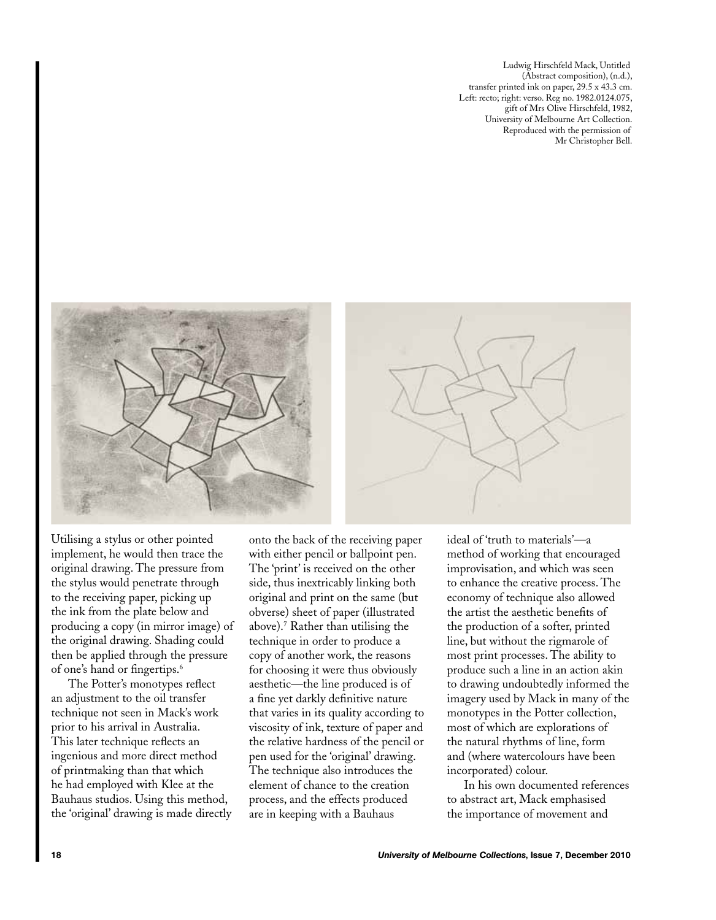Ludwig Hirschfeld Mack, Untitled (Abstract composition), (n.d.), transfer printed ink on paper, 29.5 x 43.3 cm. Left: recto; right: verso. Reg no. 1982.0124.075, gift of Mrs Olive Hirschfeld, 1982, University of Melbourne Art Collection. Reproduced with the permission of Mr Christopher Bell.



Utilising a stylus or other pointed implement, he would then trace the original drawing. The pressure from the stylus would penetrate through to the receiving paper, picking up the ink from the plate below and producing a copy (in mirror image) of the original drawing. Shading could then be applied through the pressure of one's hand or fingertips.6

The Potter's monotypes reflect an adjustment to the oil transfer technique not seen in Mack's work prior to his arrival in Australia. This later technique reflects an ingenious and more direct method of printmaking than that which he had employed with Klee at the Bauhaus studios. Using this method, the 'original' drawing is made directly onto the back of the receiving paper with either pencil or ballpoint pen. The 'print' is received on the other side, thus inextricably linking both original and print on the same (but obverse) sheet of paper (illustrated above).7 Rather than utilising the technique in order to produce a copy of another work, the reasons for choosing it were thus obviously aesthetic—the line produced is of a fine yet darkly definitive nature that varies in its quality according to viscosity of ink, texture of paper and the relative hardness of the pencil or pen used for the 'original' drawing. The technique also introduces the element of chance to the creation process, and the effects produced are in keeping with a Bauhaus

ideal of 'truth to materials'—a method of working that encouraged improvisation, and which was seen to enhance the creative process. The economy of technique also allowed the artist the aesthetic benefits of the production of a softer, printed line, but without the rigmarole of most print processes. The ability to produce such a line in an action akin to drawing undoubtedly informed the imagery used by Mack in many of the monotypes in the Potter collection, most of which are explorations of the natural rhythms of line, form and (where watercolours have been incorporated) colour.

In his own documented references to abstract art, Mack emphasised the importance of movement and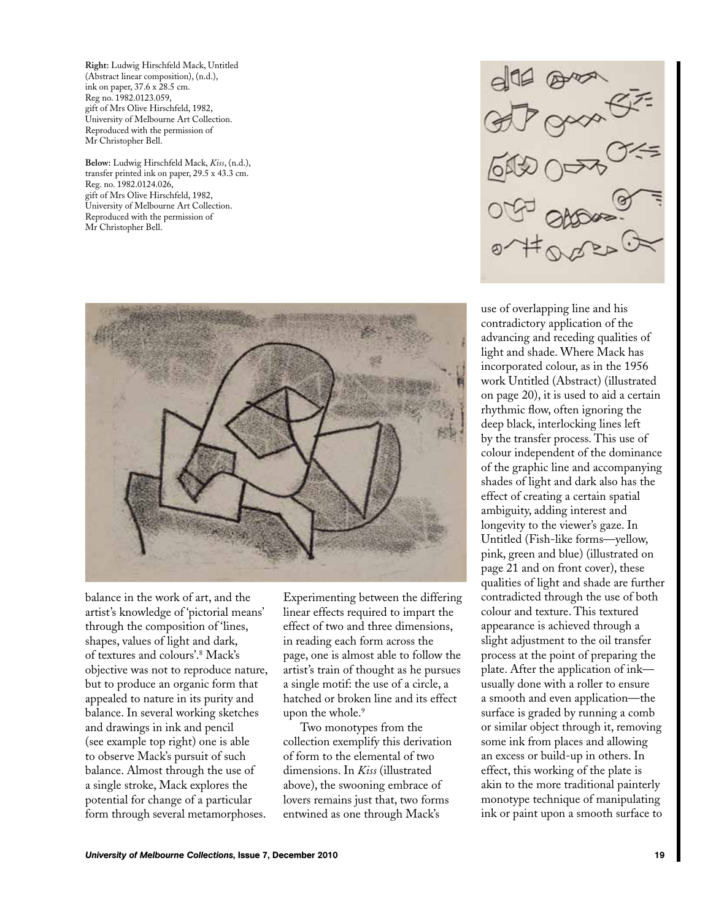**Right:** Ludwig Hirschfeld Mack, Untitled (Abstract linear composition), (n.d.), ink on paper, 37.6 x 28.5 cm. Reg no. 1982.0123.059, gift of Mrs Olive Hirschfeld, 1982, University of Melbourne Art Collection. Reproduced with the permission of Mr Christopher Bell.

**Below:** Ludwig Hirschfeld Mack, *Kiss*, (n.d.), transfer printed ink on paper, 29.5 x 43.3 cm. Reg. no. 1982.0124.026, gift of Mrs Olive Hirschfeld, 1982, University of Melbourne Art Collection. Reproduced with the permission of Mr Christopher Bell.



balance in the work of art, and the artist's knowledge of 'pictorial means' through the composition of 'lines, shapes, values of light and dark, of textures and colours'.8 Mack's objective was not to reproduce nature, but to produce an organic form that appealed to nature in its purity and balance. In several working sketches and drawings in ink and pencil (see example top right) one is able to observe Mack's pursuit of such balance. Almost through the use of a single stroke, Mack explores the potential for change of a particular form through several metamorphoses.

Experimenting between the differing linear effects required to impart the effect of two and three dimensions, in reading each form across the page, one is almost able to follow the artist's train of thought as he pursues a single motif: the use of a circle, a hatched or broken line and its effect upon the whole.<sup>9</sup>

Two monotypes from the collection exemplify this derivation of form to the elemental of two dimensions. In *Kiss* (illustrated above), the swooning embrace of lovers remains just that, two forms entwined as one through Mack's

 $\frac{d}{dt} \frac{d}{dt} \frac{d}{dt} \frac{d}{dt} \frac{d}{dt} \frac{d}{dt} \frac{d}{dt} \frac{d}{dt} \frac{d}{dt} \frac{d}{dt} \frac{d}{dt} \frac{d}{dt} \frac{d}{dt} \frac{d}{dt} \frac{d}{dt} \frac{d}{dt} \frac{d}{dt} \frac{d}{dt} \frac{d}{dt} \frac{d}{dt} \frac{d}{dt} \frac{d}{dt} \frac{d}{dt} \frac{d}{dt} \frac{d}{dt} \frac{d}{dt} \frac{d}{dt} \frac{d}{dt} \frac{d}{dt} \frac{d}{dt} \frac{d}{dt} \frac{$ 

use of overlapping line and his contradictory application of the advancing and receding qualities of light and shade. Where Mack has incorporated colour, as in the 1956 work Untitled (Abstract) (illustrated on page 20), it is used to aid a certain rhythmic flow, often ignoring the deep black, interlocking lines left by the transfer process. This use of colour independent of the dominance of the graphic line and accompanying shades of light and dark also has the effect of creating a certain spatial ambiguity, adding interest and longevity to the viewer's gaze. In Untitled (Fish-like forms—yellow, pink, green and blue) (illustrated on page 21 and on front cover), these qualities of light and shade are further contradicted through the use of both colour and texture. This textured appearance is achieved through a slight adjustment to the oil transfer process at the point of preparing the plate. After the application of ink usually done with a roller to ensure a smooth and even application—the surface is graded by running a comb or similar object through it, removing some ink from places and allowing an excess or build-up in others. In effect, this working of the plate is akin to the more traditional painterly monotype technique of manipulating ink or paint upon a smooth surface to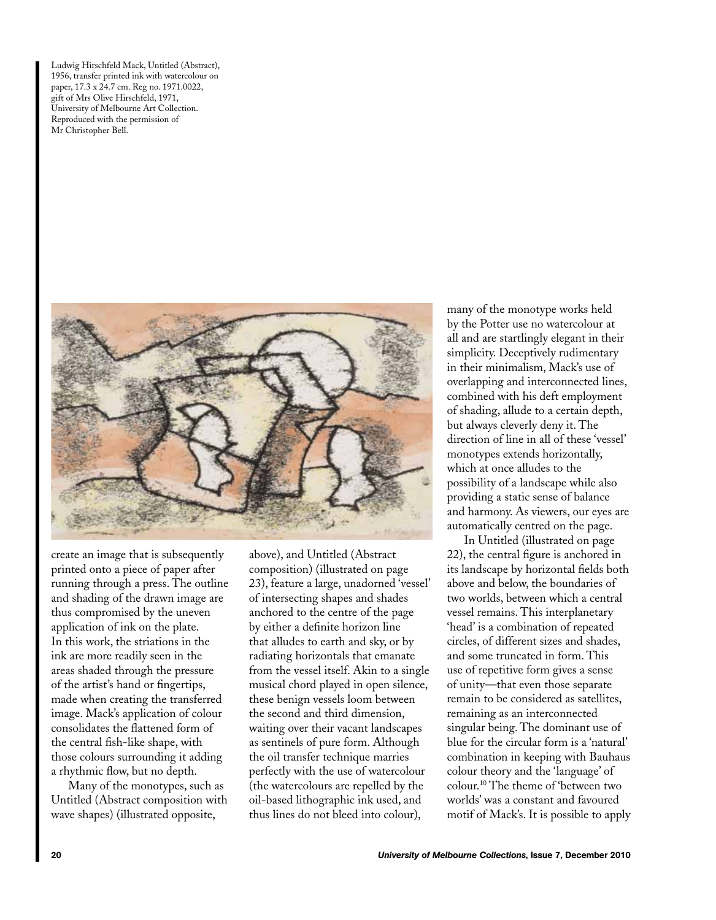Ludwig Hirschfeld Mack, Untitled (Abstract), 1956, transfer printed ink with watercolour on paper, 17.3 x 24.7 cm. Reg no. 1971.0022, gift of Mrs Olive Hirschfeld, 1971, University of Melbourne Art Collection. Reproduced with the permission of Mr Christopher Bell.



create an image that is subsequently printed onto a piece of paper after running through a press. The outline and shading of the drawn image are thus compromised by the uneven application of ink on the plate. In this work, the striations in the ink are more readily seen in the areas shaded through the pressure of the artist's hand or fingertips, made when creating the transferred image. Mack's application of colour consolidates the flattened form of the central fish-like shape, with those colours surrounding it adding a rhythmic flow, but no depth.

Many of the monotypes, such as Untitled (Abstract composition with wave shapes) (illustrated opposite,

above), and Untitled (Abstract composition) (illustrated on page 23), feature a large, unadorned 'vessel' of intersecting shapes and shades anchored to the centre of the page by either a definite horizon line that alludes to earth and sky, or by radiating horizontals that emanate from the vessel itself. Akin to a single musical chord played in open silence, these benign vessels loom between the second and third dimension, waiting over their vacant landscapes as sentinels of pure form. Although the oil transfer technique marries perfectly with the use of watercolour (the watercolours are repelled by the oil-based lithographic ink used, and thus lines do not bleed into colour),

many of the monotype works held by the Potter use no watercolour at all and are startlingly elegant in their simplicity. Deceptively rudimentary in their minimalism, Mack's use of overlapping and interconnected lines, combined with his deft employment of shading, allude to a certain depth, but always cleverly deny it. The direction of line in all of these 'vessel' monotypes extends horizontally, which at once alludes to the possibility of a landscape while also providing a static sense of balance and harmony. As viewers, our eyes are automatically centred on the page.

In Untitled (illustrated on page 22), the central figure is anchored in its landscape by horizontal fields both above and below, the boundaries of two worlds, between which a central vessel remains. This interplanetary 'head' is a combination of repeated circles, of different sizes and shades, and some truncated in form. This use of repetitive form gives a sense of unity—that even those separate remain to be considered as satellites, remaining as an interconnected singular being. The dominant use of blue for the circular form is a 'natural' combination in keeping with Bauhaus colour theory and the 'language' of colour.10 The theme of 'between two worlds' was a constant and favoured motif of Mack's. It is possible to apply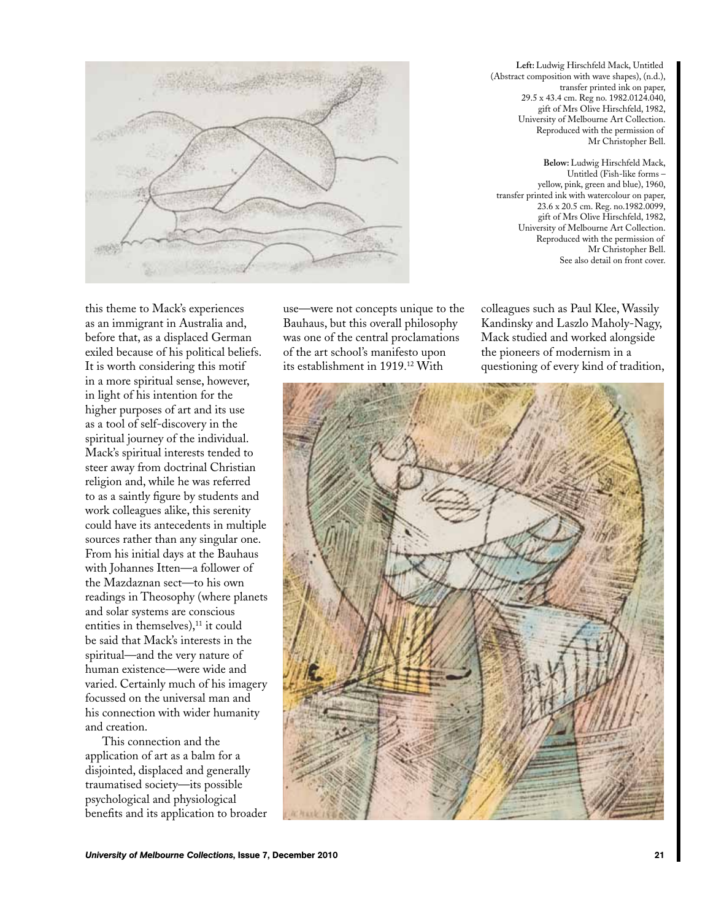**Left:** Ludwig Hirschfeld Mack, Untitled (Abstract composition with wave shapes), (n.d.), transfer printed ink on paper, 29.5 x 43.4 cm. Reg no. 1982.0124.040, gift of Mrs Olive Hirschfeld, 1982, University of Melbourne Art Collection. Reproduced with the permission of Mr Christopher Bell.

**Below:** Ludwig Hirschfeld Mack, Untitled (Fish-like forms – yellow, pink, green and blue), 1960, transfer printed ink with watercolour on paper, 23.6 x 20.5 cm. Reg. no.1982.0099, gift of Mrs Olive Hirschfeld, 1982, University of Melbourne Art Collection. Reproduced with the permission of Mr Christopher Bell. See also detail on front cover.

this theme to Mack's experiences as an immigrant in Australia and, before that, as a displaced German exiled because of his political beliefs. It is worth considering this motif in a more spiritual sense, however, in light of his intention for the higher purposes of art and its use as a tool of self-discovery in the spiritual journey of the individual. Mack's spiritual interests tended to steer away from doctrinal Christian religion and, while he was referred to as a saintly figure by students and work colleagues alike, this serenity could have its antecedents in multiple sources rather than any singular one. From his initial days at the Bauhaus with Johannes Itten—a follower of the Mazdaznan sect—to his own readings in Theosophy (where planets and solar systems are conscious entities in themselves), $11$  it could be said that Mack's interests in the spiritual—and the very nature of human existence—were wide and varied. Certainly much of his imagery focussed on the universal man and his connection with wider humanity and creation.

This connection and the application of art as a balm for a disjointed, displaced and generally traumatised society—its possible psychological and physiological benefits and its application to broader use—were not concepts unique to the Bauhaus, but this overall philosophy was one of the central proclamations of the art school's manifesto upon its establishment in 1919.<sup>12</sup> With

colleagues such as Paul Klee, Wassily Kandinsky and Laszlo Maholy-Nagy, Mack studied and worked alongside the pioneers of modernism in a questioning of every kind of tradition,

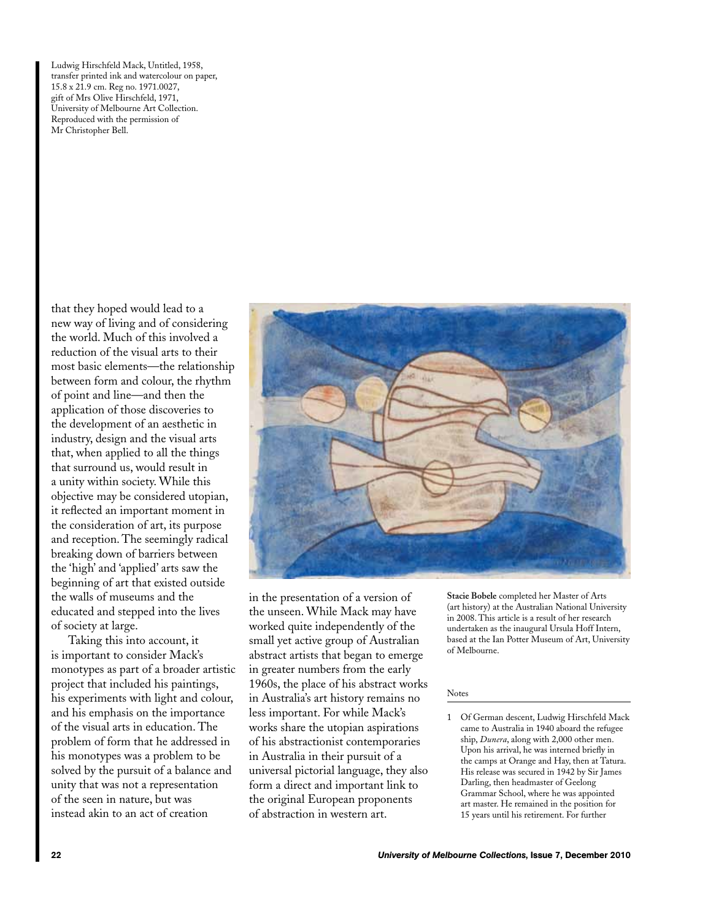Ludwig Hirschfeld Mack, Untitled, 1958, transfer printed ink and watercolour on paper, 15.8 x 21.9 cm. Reg no. 1971.0027, gift of Mrs Olive Hirschfeld, 1971, University of Melbourne Art Collection. Reproduced with the permission of Mr Christopher Bell.

that they hoped would lead to a new way of living and of considering the world. Much of this involved a reduction of the visual arts to their most basic elements—the relationship between form and colour, the rhythm of point and line—and then the application of those discoveries to the development of an aesthetic in industry, design and the visual arts that, when applied to all the things that surround us, would result in a unity within society. While this objective may be considered utopian, it reflected an important moment in the consideration of art, its purpose and reception. The seemingly radical breaking down of barriers between the 'high' and 'applied' arts saw the beginning of art that existed outside the walls of museums and the educated and stepped into the lives of society at large.

Taking this into account, it is important to consider Mack's monotypes as part of a broader artistic project that included his paintings, his experiments with light and colour, and his emphasis on the importance of the visual arts in education. The problem of form that he addressed in his monotypes was a problem to be solved by the pursuit of a balance and unity that was not a representation of the seen in nature, but was instead akin to an act of creation



in the presentation of a version of the unseen. While Mack may have worked quite independently of the small yet active group of Australian abstract artists that began to emerge in greater numbers from the early 1960s, the place of his abstract works in Australia's art history remains no less important. For while Mack's works share the utopian aspirations of his abstractionist contemporaries in Australia in their pursuit of a universal pictorial language, they also form a direct and important link to the original European proponents of abstraction in western art.

**Stacie Bobele** completed her Master of Arts (art history) at the Australian National University in 2008. This article is a result of her research undertaken as the inaugural Ursula Hoff Intern, based at the Ian Potter Museum of Art, University of Melbourne.

## Notes

1 Of German descent, Ludwig Hirschfeld Mack came to Australia in 1940 aboard the refugee ship, *Dunera*, along with 2,000 other men. Upon his arrival, he was interned briefly in the camps at Orange and Hay, then at Tatura. His release was secured in 1942 by Sir James Darling, then headmaster of Geelong Grammar School, where he was appointed art master. He remained in the position for 15 years until his retirement. For further